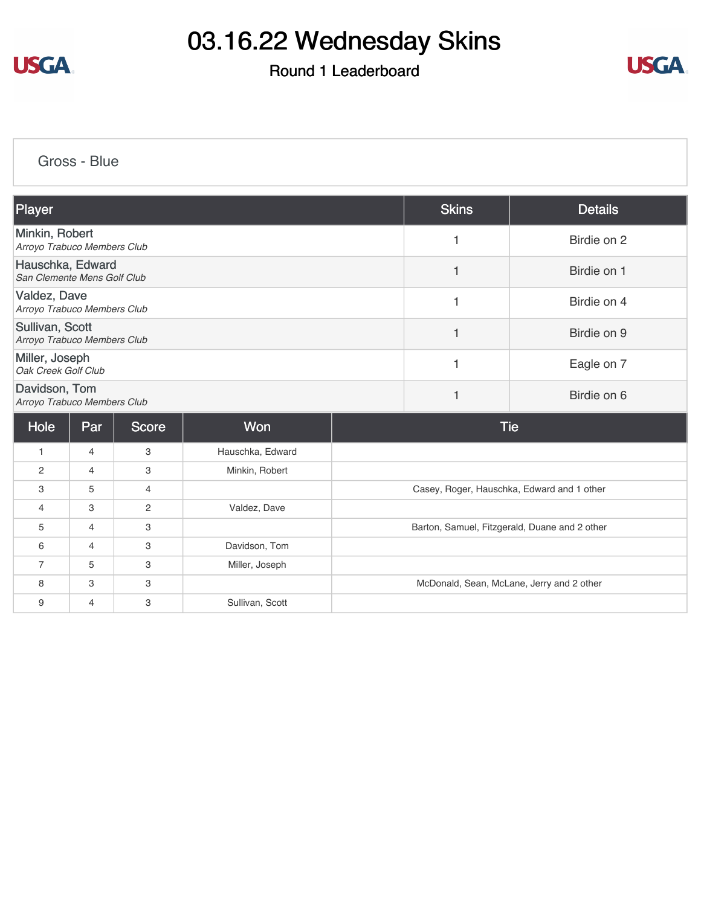

### Round 1 Leaderboard



[Gross - Blue](https://cdn2.golfgenius.com/v2tournaments/8303151138388074550?called_from=&round_index=1)

| Player                                          | <b>Skins</b> | <b>Details</b> |
|-------------------------------------------------|--------------|----------------|
| Minkin, Robert<br>Arroyo Trabuco Members Club   |              | Birdie on 2    |
| Hauschka, Edward<br>San Clemente Mens Golf Club |              | Birdie on 1    |
| Valdez, Dave<br>Arroyo Trabuco Members Club     |              | Birdie on 4    |
| Sullivan, Scott<br>Arroyo Trabuco Members Club  |              | Birdie on 9    |
| Miller, Joseph<br>Oak Creek Golf Club           |              | Eagle on 7     |
| Davidson, Tom<br>Arroyo Trabuco Members Club    |              | Birdie on 6    |
|                                                 |              |                |

| Hole           | Par            | <b>Score</b>   | <b>Won</b>       | Tie                                           |
|----------------|----------------|----------------|------------------|-----------------------------------------------|
|                | $\overline{4}$ | 3              | Hauschka, Edward |                                               |
| 2              | $\overline{4}$ | 3              | Minkin, Robert   |                                               |
| 3              | 5              | $\overline{4}$ |                  | Casey, Roger, Hauschka, Edward and 1 other    |
| 4              | 3              | $\overline{2}$ | Valdez, Dave     |                                               |
| 5              | $\overline{4}$ | 3              |                  | Barton, Samuel, Fitzgerald, Duane and 2 other |
| 6              | $\overline{4}$ | 3              | Davidson, Tom    |                                               |
| $\overline{7}$ | 5              | 3              | Miller, Joseph   |                                               |
| 8              | 3              | 3              |                  | McDonald, Sean, McLane, Jerry and 2 other     |
| 9              | 4              | 3              | Sullivan, Scott  |                                               |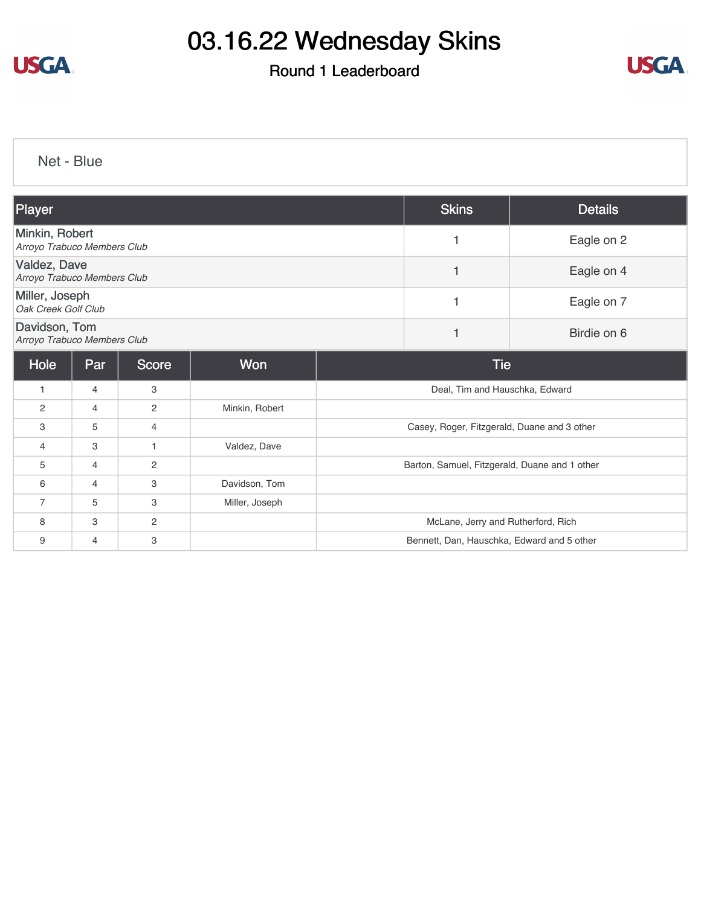

### Round 1 Leaderboard



[Net - Blue](https://cdn2.golfgenius.com/v2tournaments/8303152102541123639?called_from=&round_index=1)

| Player                                        |                |                |                | <b>Skins</b>                                  | <b>Details</b>                             |  |
|-----------------------------------------------|----------------|----------------|----------------|-----------------------------------------------|--------------------------------------------|--|
| Minkin, Robert<br>Arroyo Trabuco Members Club |                |                | 1              | Eagle on 2                                    |                                            |  |
| Valdez, Dave<br>Arroyo Trabuco Members Club   |                |                |                | Eagle on 4                                    |                                            |  |
| Miller, Joseph<br>Oak Creek Golf Club         |                |                | 1              | Eagle on 7                                    |                                            |  |
| Davidson, Tom<br>Arroyo Trabuco Members Club  |                |                | 1              | Birdie on 6                                   |                                            |  |
| Hole                                          | Par            | <b>Score</b>   | <b>Won</b>     | <b>Tie</b>                                    |                                            |  |
| 1                                             | 4              | 3              |                |                                               | Deal, Tim and Hauschka, Edward             |  |
| 2                                             | $\overline{4}$ | $\overline{2}$ | Minkin, Robert |                                               |                                            |  |
| 3                                             | 5              | $\overline{4}$ |                | Casey, Roger, Fitzgerald, Duane and 3 other   |                                            |  |
| 4                                             | 3              | $\mathbf 1$    | Valdez, Dave   |                                               |                                            |  |
| 5                                             | 4              | 2              |                | Barton, Samuel, Fitzgerald, Duane and 1 other |                                            |  |
| 6                                             | $\overline{4}$ | 3              | Davidson, Tom  |                                               |                                            |  |
| $\overline{7}$                                | 5              | 3              | Miller, Joseph |                                               |                                            |  |
| 8                                             | 3              | 2              |                |                                               | McLane, Jerry and Rutherford, Rich         |  |
| 9                                             | 4              | 3              |                |                                               | Bennett, Dan, Hauschka, Edward and 5 other |  |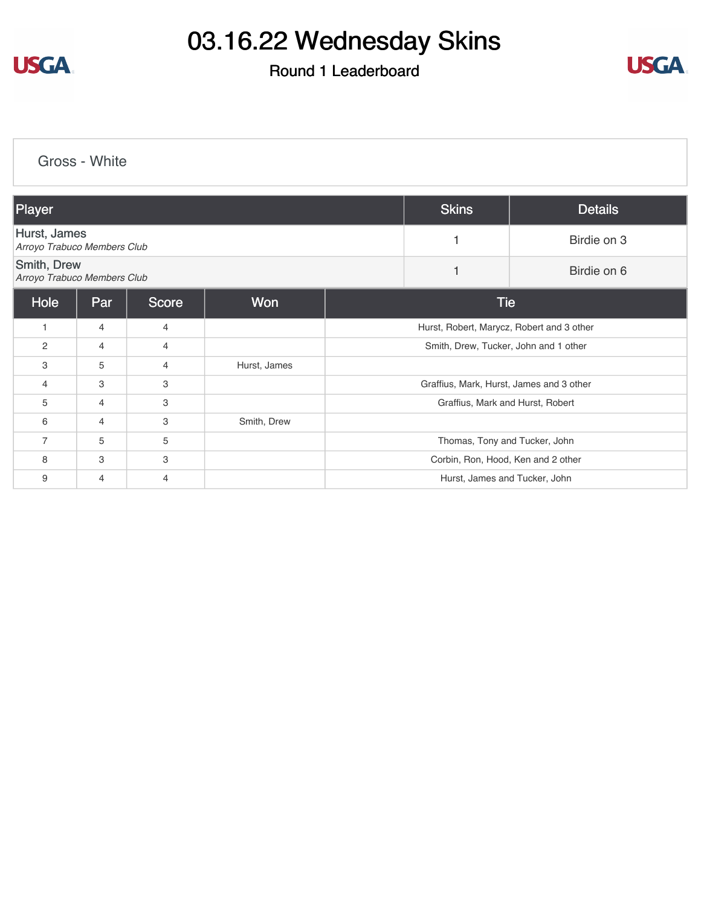

#### Round 1 Leaderboard



[Gross - White](https://cdn2.golfgenius.com/v2tournaments/8303153092195541048?called_from=&round_index=1) Player Skins Details [Hurst, James](https://cdn2.golfgenius.com/tournaments2/details/8303974351984681005) *Arroyo Trabuco Members Club* <sup>1</sup> Birdie on 3 [Smith, Drew](https://cdn2.golfgenius.com/tournaments2/details/8303974351984681009) **Arroyo Trabuco Members Club** 1 **Birdie on 6**<br>Arroyo Trabuco Members Club Hole Par Score Won Tie 1 4 4 4 4 Hurst, Robert, Marycz, Robert and 3 other 2 4 4 4 5 Smith, Drew, Tucker, John and 1 other 3 5 4 Hurst, James 4 3 3 Graffius, Mark, Hurst, James and 3 other 5 4 3 Graffius, Mark and Hurst, Robert 6 4 3 Smith, Drew Thomas, Tony and Tucker, John (1999) 5 19 September 10 September 2014 10:30 10:40 Thomas, Tony and Tucker, John 8 3 3 3 3 Corbin, Ron, Hood, Ken and 2 other 9 4 4 Hurst, James and Tucker, John